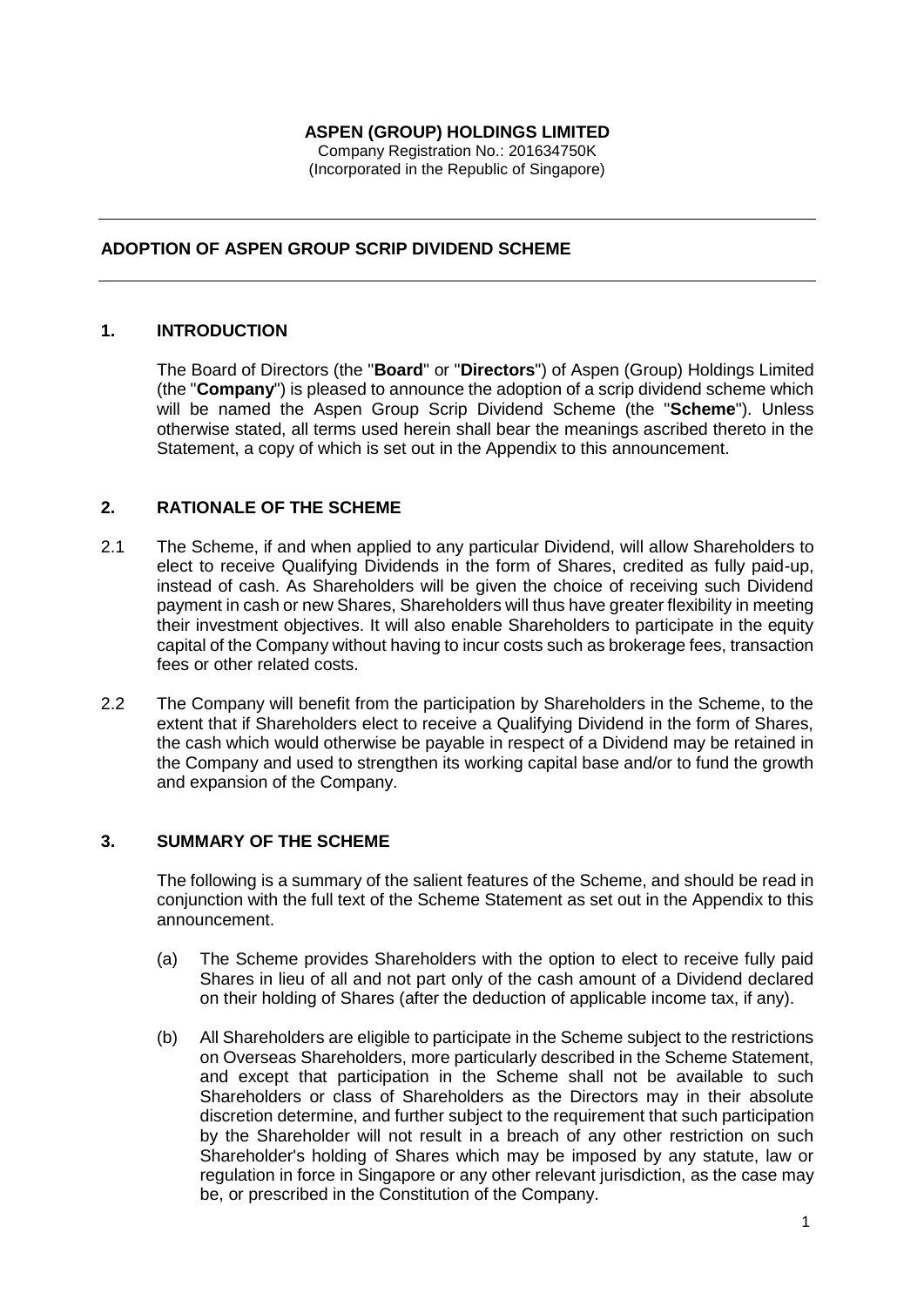## **ASPEN (GROUP) HOLDINGS LIMITED**

Company Registration No.: 201634750K (Incorporated in the Republic of Singapore)

## **ADOPTION OF ASPEN GROUP SCRIP DIVIDEND SCHEME**

## **1. INTRODUCTION**

The Board of Directors (the "**Board**" or "**Directors**") of Aspen (Group) Holdings Limited (the "**Company**") is pleased to announce the adoption of a scrip dividend scheme which will be named the Aspen Group Scrip Dividend Scheme (the "**Scheme**"). Unless otherwise stated, all terms used herein shall bear the meanings ascribed thereto in the Statement, a copy of which is set out in the Appendix to this announcement.

## **2. RATIONALE OF THE SCHEME**

- 2.1 The Scheme, if and when applied to any particular Dividend, will allow Shareholders to elect to receive Qualifying Dividends in the form of Shares, credited as fully paid-up, instead of cash. As Shareholders will be given the choice of receiving such Dividend payment in cash or new Shares, Shareholders will thus have greater flexibility in meeting their investment objectives. It will also enable Shareholders to participate in the equity capital of the Company without having to incur costs such as brokerage fees, transaction fees or other related costs.
- 2.2 The Company will benefit from the participation by Shareholders in the Scheme, to the extent that if Shareholders elect to receive a Qualifying Dividend in the form of Shares, the cash which would otherwise be payable in respect of a Dividend may be retained in the Company and used to strengthen its working capital base and/or to fund the growth and expansion of the Company.

## **3. SUMMARY OF THE SCHEME**

The following is a summary of the salient features of the Scheme, and should be read in conjunction with the full text of the Scheme Statement as set out in the Appendix to this announcement.

- (a) The Scheme provides Shareholders with the option to elect to receive fully paid Shares in lieu of all and not part only of the cash amount of a Dividend declared on their holding of Shares (after the deduction of applicable income tax, if any).
- (b) All Shareholders are eligible to participate in the Scheme subject to the restrictions on Overseas Shareholders, more particularly described in the Scheme Statement, and except that participation in the Scheme shall not be available to such Shareholders or class of Shareholders as the Directors may in their absolute discretion determine, and further subject to the requirement that such participation by the Shareholder will not result in a breach of any other restriction on such Shareholder's holding of Shares which may be imposed by any statute, law or regulation in force in Singapore or any other relevant jurisdiction, as the case may be, or prescribed in the Constitution of the Company.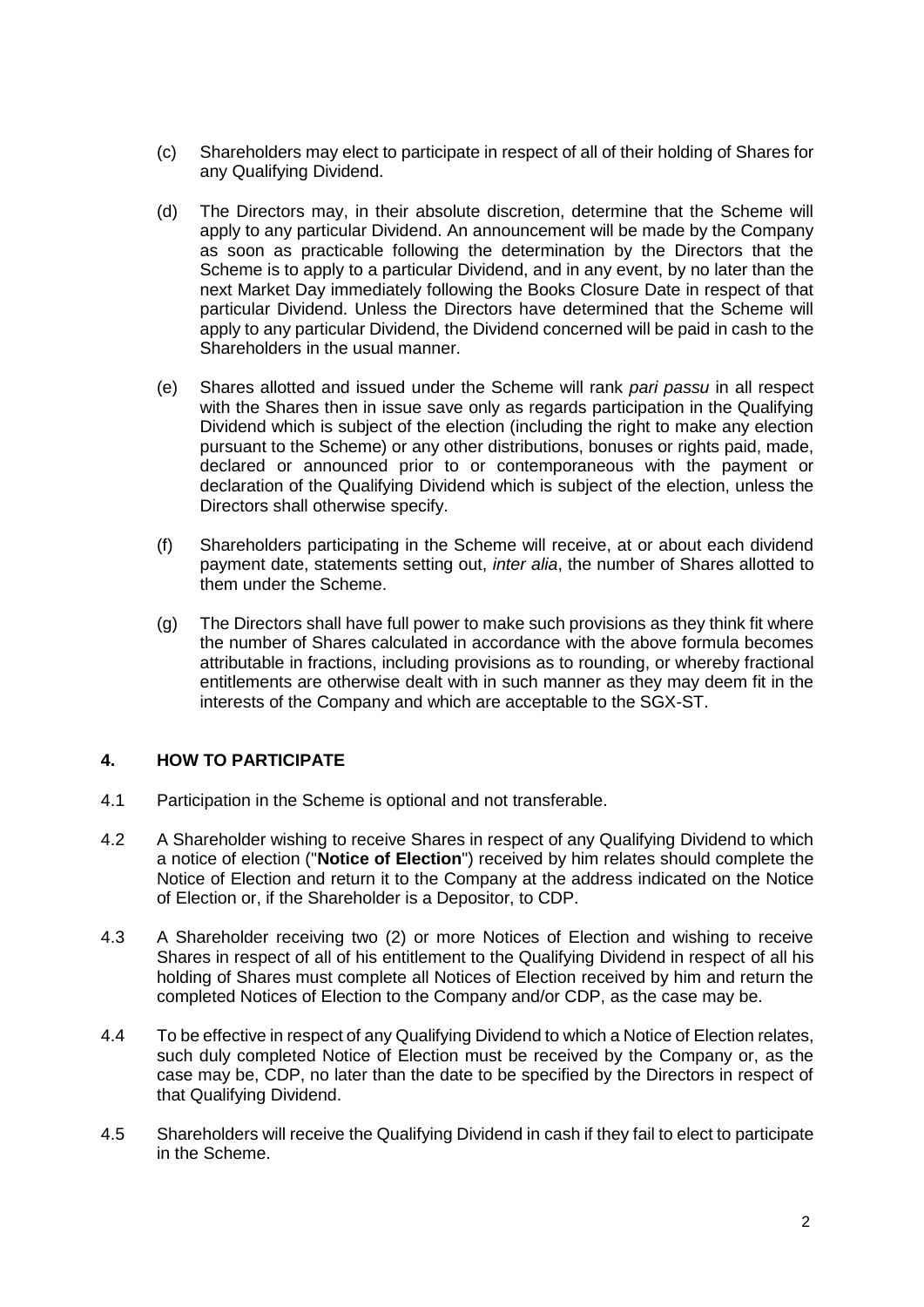- (c) Shareholders may elect to participate in respect of all of their holding of Shares for any Qualifying Dividend.
- (d) The Directors may, in their absolute discretion, determine that the Scheme will apply to any particular Dividend. An announcement will be made by the Company as soon as practicable following the determination by the Directors that the Scheme is to apply to a particular Dividend, and in any event, by no later than the next Market Day immediately following the Books Closure Date in respect of that particular Dividend. Unless the Directors have determined that the Scheme will apply to any particular Dividend, the Dividend concerned will be paid in cash to the Shareholders in the usual manner.
- (e) Shares allotted and issued under the Scheme will rank *pari passu* in all respect with the Shares then in issue save only as regards participation in the Qualifying Dividend which is subject of the election (including the right to make any election pursuant to the Scheme) or any other distributions, bonuses or rights paid, made, declared or announced prior to or contemporaneous with the payment or declaration of the Qualifying Dividend which is subject of the election, unless the Directors shall otherwise specify.
- (f) Shareholders participating in the Scheme will receive, at or about each dividend payment date, statements setting out, *inter alia*, the number of Shares allotted to them under the Scheme.
- (g) The Directors shall have full power to make such provisions as they think fit where the number of Shares calculated in accordance with the above formula becomes attributable in fractions, including provisions as to rounding, or whereby fractional entitlements are otherwise dealt with in such manner as they may deem fit in the interests of the Company and which are acceptable to the SGX-ST.

# **4. HOW TO PARTICIPATE**

- 4.1 Participation in the Scheme is optional and not transferable.
- 4.2 A Shareholder wishing to receive Shares in respect of any Qualifying Dividend to which a notice of election ("**Notice of Election**") received by him relates should complete the Notice of Election and return it to the Company at the address indicated on the Notice of Election or, if the Shareholder is a Depositor, to CDP.
- 4.3 A Shareholder receiving two (2) or more Notices of Election and wishing to receive Shares in respect of all of his entitlement to the Qualifying Dividend in respect of all his holding of Shares must complete all Notices of Election received by him and return the completed Notices of Election to the Company and/or CDP, as the case may be.
- 4.4 To be effective in respect of any Qualifying Dividend to which a Notice of Election relates, such duly completed Notice of Election must be received by the Company or, as the case may be, CDP, no later than the date to be specified by the Directors in respect of that Qualifying Dividend.
- 4.5 Shareholders will receive the Qualifying Dividend in cash if they fail to elect to participate in the Scheme.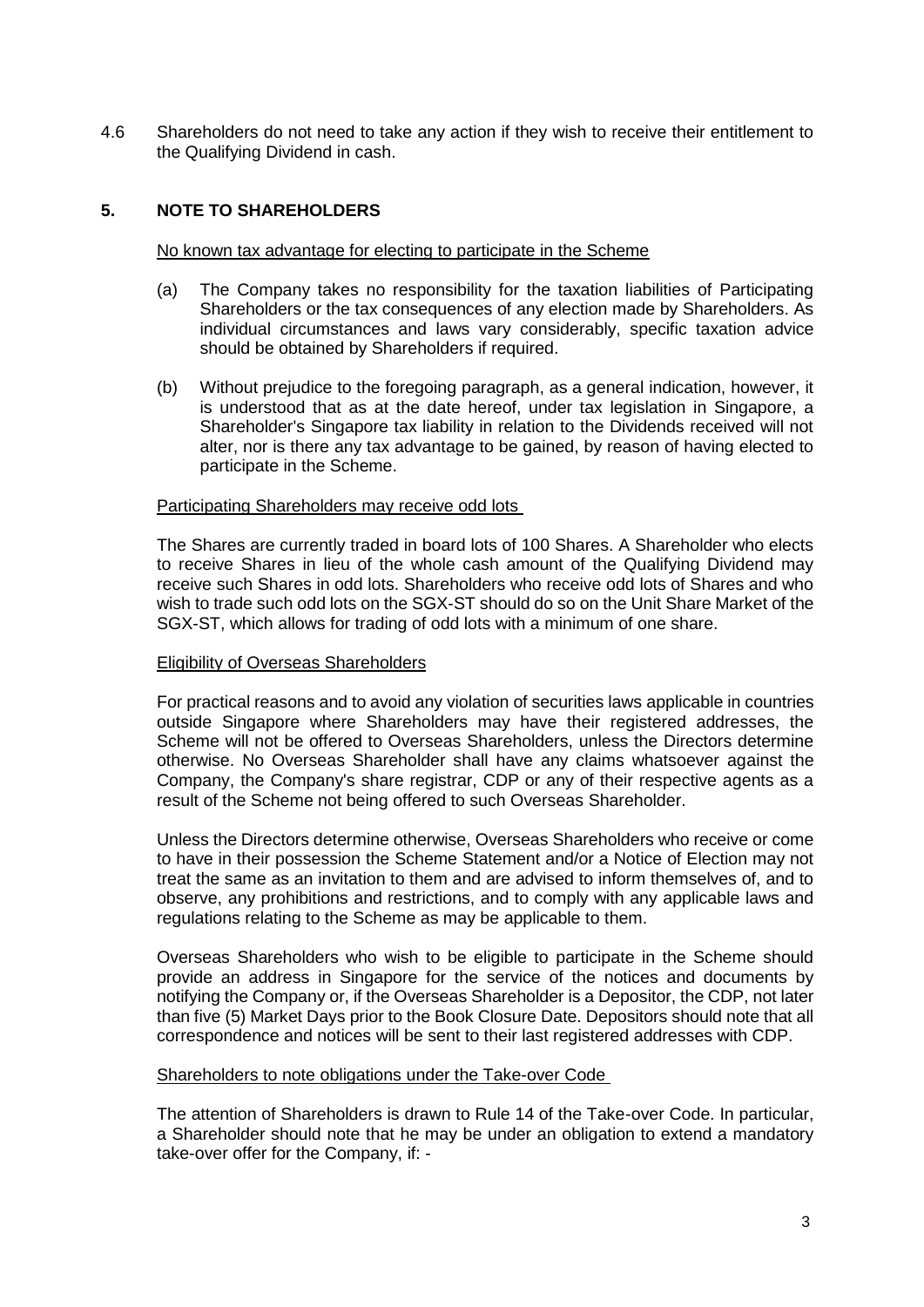4.6 Shareholders do not need to take any action if they wish to receive their entitlement to the Qualifying Dividend in cash.

## **5. NOTE TO SHAREHOLDERS**

#### No known tax advantage for electing to participate in the Scheme

- (a) The Company takes no responsibility for the taxation liabilities of Participating Shareholders or the tax consequences of any election made by Shareholders. As individual circumstances and laws vary considerably, specific taxation advice should be obtained by Shareholders if required.
- (b) Without prejudice to the foregoing paragraph, as a general indication, however, it is understood that as at the date hereof, under tax legislation in Singapore, a Shareholder's Singapore tax liability in relation to the Dividends received will not alter, nor is there any tax advantage to be gained, by reason of having elected to participate in the Scheme.

#### Participating Shareholders may receive odd lots

The Shares are currently traded in board lots of 100 Shares. A Shareholder who elects to receive Shares in lieu of the whole cash amount of the Qualifying Dividend may receive such Shares in odd lots. Shareholders who receive odd lots of Shares and who wish to trade such odd lots on the SGX-ST should do so on the Unit Share Market of the SGX-ST, which allows for trading of odd lots with a minimum of one share.

#### Eligibility of Overseas Shareholders

For practical reasons and to avoid any violation of securities laws applicable in countries outside Singapore where Shareholders may have their registered addresses, the Scheme will not be offered to Overseas Shareholders, unless the Directors determine otherwise. No Overseas Shareholder shall have any claims whatsoever against the Company, the Company's share registrar, CDP or any of their respective agents as a result of the Scheme not being offered to such Overseas Shareholder.

Unless the Directors determine otherwise, Overseas Shareholders who receive or come to have in their possession the Scheme Statement and/or a Notice of Election may not treat the same as an invitation to them and are advised to inform themselves of, and to observe, any prohibitions and restrictions, and to comply with any applicable laws and regulations relating to the Scheme as may be applicable to them.

Overseas Shareholders who wish to be eligible to participate in the Scheme should provide an address in Singapore for the service of the notices and documents by notifying the Company or, if the Overseas Shareholder is a Depositor, the CDP, not later than five (5) Market Days prior to the Book Closure Date. Depositors should note that all correspondence and notices will be sent to their last registered addresses with CDP.

#### Shareholders to note obligations under the Take-over Code

The attention of Shareholders is drawn to Rule 14 of the Take-over Code. In particular, a Shareholder should note that he may be under an obligation to extend a mandatory take-over offer for the Company, if: -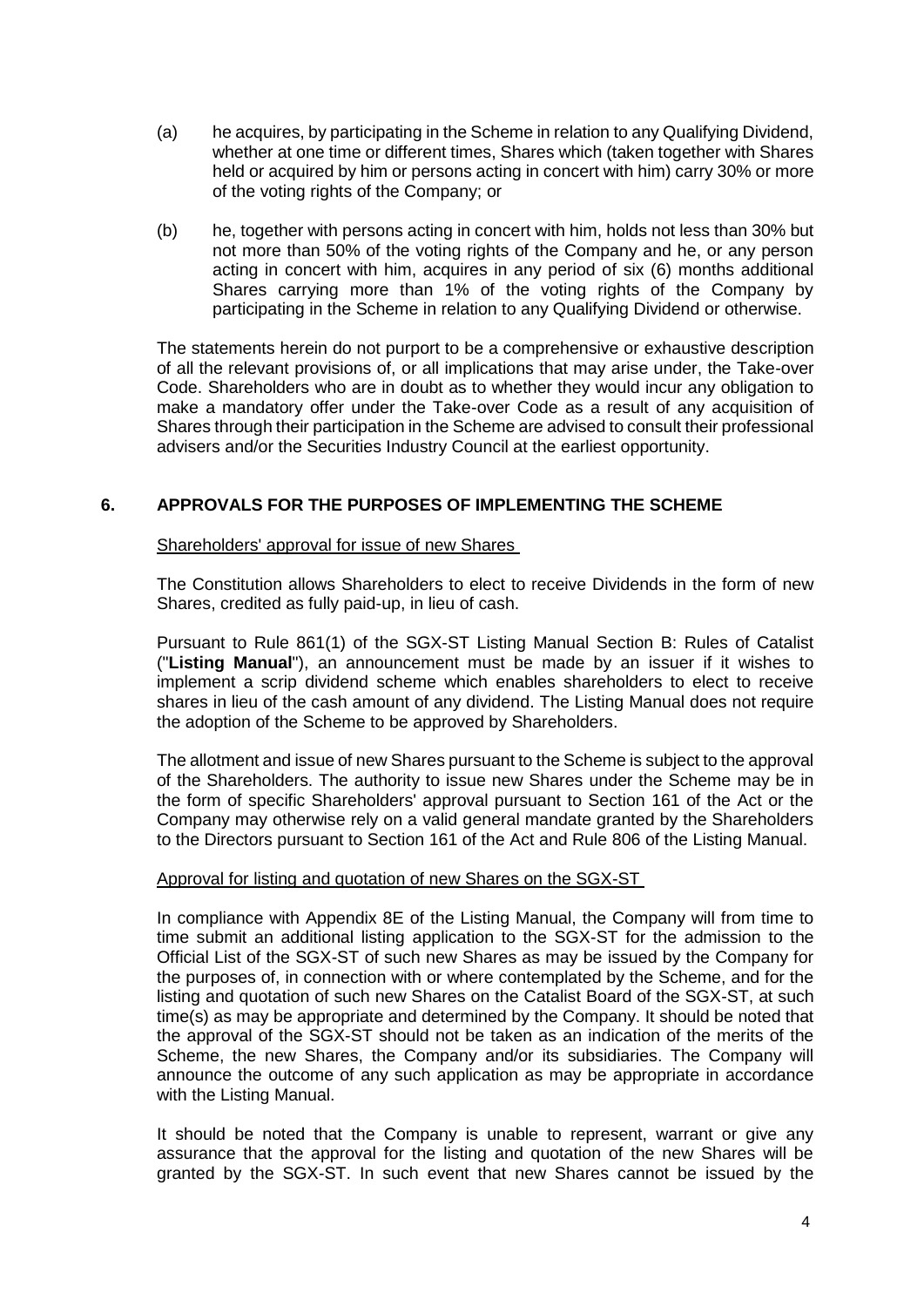- (a) he acquires, by participating in the Scheme in relation to any Qualifying Dividend, whether at one time or different times, Shares which (taken together with Shares held or acquired by him or persons acting in concert with him) carry 30% or more of the voting rights of the Company; or
- (b) he, together with persons acting in concert with him, holds not less than 30% but not more than 50% of the voting rights of the Company and he, or any person acting in concert with him, acquires in any period of six (6) months additional Shares carrying more than 1% of the voting rights of the Company by participating in the Scheme in relation to any Qualifying Dividend or otherwise.

The statements herein do not purport to be a comprehensive or exhaustive description of all the relevant provisions of, or all implications that may arise under, the Take-over Code. Shareholders who are in doubt as to whether they would incur any obligation to make a mandatory offer under the Take-over Code as a result of any acquisition of Shares through their participation in the Scheme are advised to consult their professional advisers and/or the Securities Industry Council at the earliest opportunity.

## **6. APPROVALS FOR THE PURPOSES OF IMPLEMENTING THE SCHEME**

## Shareholders' approval for issue of new Shares

The Constitution allows Shareholders to elect to receive Dividends in the form of new Shares, credited as fully paid-up, in lieu of cash.

Pursuant to Rule 861(1) of the SGX-ST Listing Manual Section B: Rules of Catalist ("**Listing Manual**"), an announcement must be made by an issuer if it wishes to implement a scrip dividend scheme which enables shareholders to elect to receive shares in lieu of the cash amount of any dividend. The Listing Manual does not require the adoption of the Scheme to be approved by Shareholders.

The allotment and issue of new Shares pursuant to the Scheme is subject to the approval of the Shareholders. The authority to issue new Shares under the Scheme may be in the form of specific Shareholders' approval pursuant to Section 161 of the Act or the Company may otherwise rely on a valid general mandate granted by the Shareholders to the Directors pursuant to Section 161 of the Act and Rule 806 of the Listing Manual.

#### Approval for listing and quotation of new Shares on the SGX-ST

In compliance with Appendix 8E of the Listing Manual, the Company will from time to time submit an additional listing application to the SGX-ST for the admission to the Official List of the SGX-ST of such new Shares as may be issued by the Company for the purposes of, in connection with or where contemplated by the Scheme, and for the listing and quotation of such new Shares on the Catalist Board of the SGX-ST, at such time(s) as may be appropriate and determined by the Company. It should be noted that the approval of the SGX-ST should not be taken as an indication of the merits of the Scheme, the new Shares, the Company and/or its subsidiaries. The Company will announce the outcome of any such application as may be appropriate in accordance with the Listing Manual.

It should be noted that the Company is unable to represent, warrant or give any assurance that the approval for the listing and quotation of the new Shares will be granted by the SGX-ST. In such event that new Shares cannot be issued by the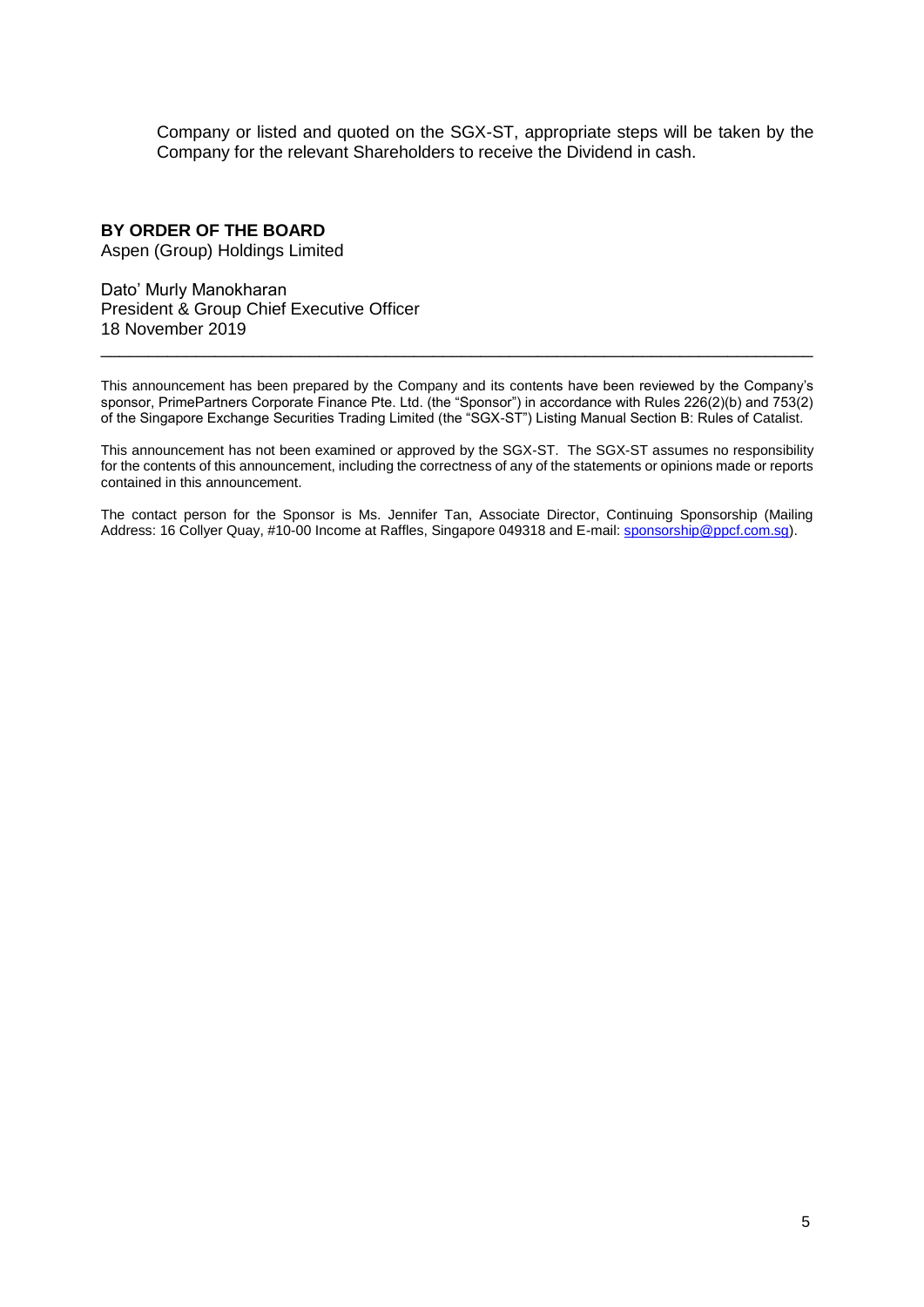Company or listed and quoted on the SGX-ST, appropriate steps will be taken by the Company for the relevant Shareholders to receive the Dividend in cash.

## **BY ORDER OF THE BOARD**

Aspen (Group) Holdings Limited

Dato' Murly Manokharan President & Group Chief Executive Officer 18 November 2019

This announcement has been prepared by the Company and its contents have been reviewed by the Company's sponsor, PrimePartners Corporate Finance Pte. Ltd. (the "Sponsor") in accordance with Rules 226(2)(b) and 753(2) of the Singapore Exchange Securities Trading Limited (the "SGX-ST") Listing Manual Section B: Rules of Catalist.

\_\_\_\_\_\_\_\_\_\_\_\_\_\_\_\_\_\_\_\_\_\_\_\_\_\_\_\_\_\_\_\_\_\_\_\_\_\_\_\_\_\_\_\_\_\_\_\_\_\_\_\_\_\_\_\_\_\_\_\_\_\_\_\_\_\_\_\_\_\_\_\_\_\_\_

This announcement has not been examined or approved by the SGX-ST. The SGX-ST assumes no responsibility for the contents of this announcement, including the correctness of any of the statements or opinions made or reports contained in this announcement.

The contact person for the Sponsor is Ms. Jennifer Tan, Associate Director, Continuing Sponsorship (Mailing Address: 16 Collyer Quay, #10-00 Income at Raffles, Singapore 049318 and E-mail: sponsorship@ppcf.com.sg).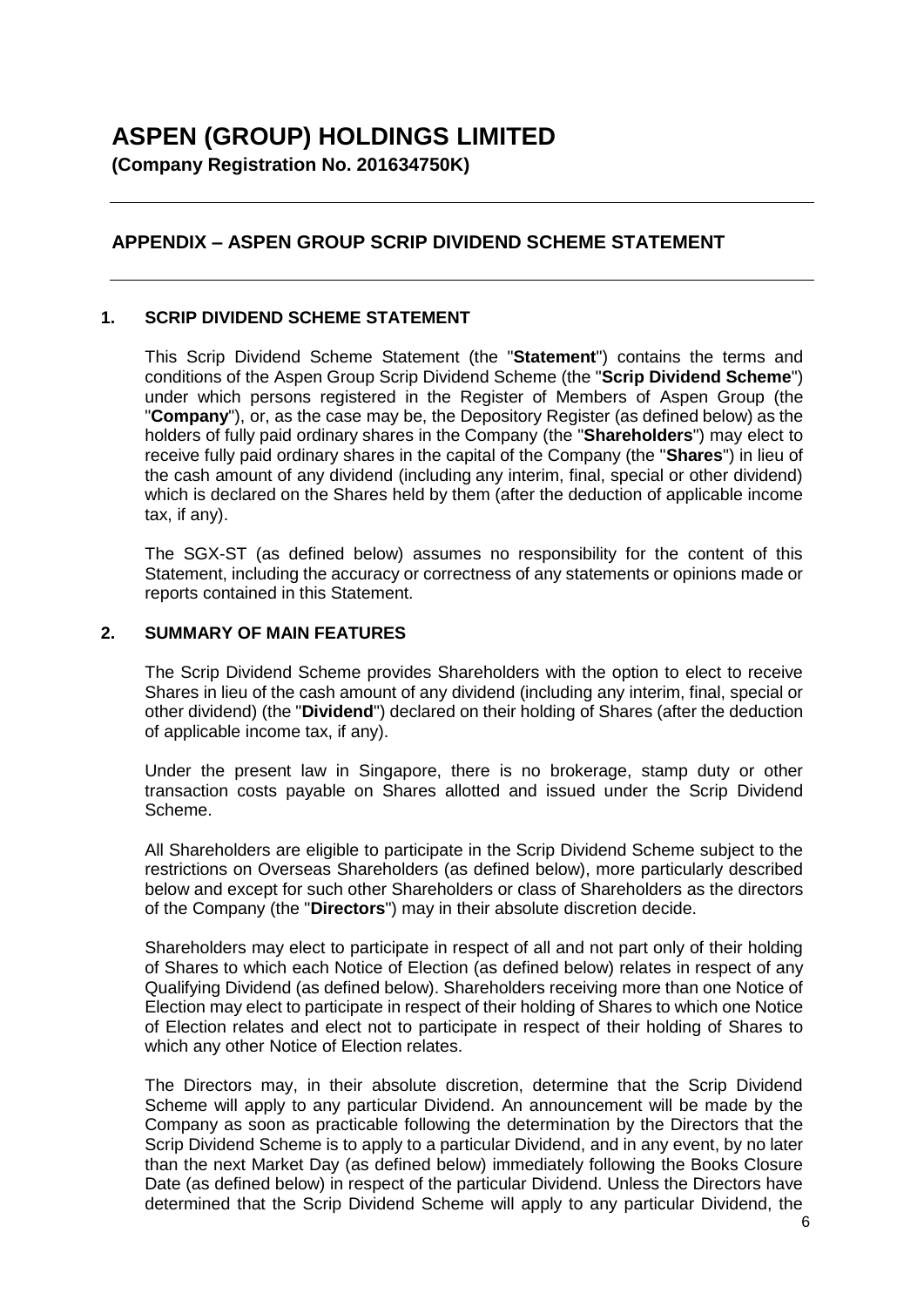# **ASPEN (GROUP) HOLDINGS LIMITED**

**(Company Registration No. 201634750K)**

# **APPENDIX – ASPEN GROUP SCRIP DIVIDEND SCHEME STATEMENT**

## **1. SCRIP DIVIDEND SCHEME STATEMENT**

This Scrip Dividend Scheme Statement (the "**Statement**") contains the terms and conditions of the Aspen Group Scrip Dividend Scheme (the "**Scrip Dividend Scheme**") under which persons registered in the Register of Members of Aspen Group (the "**Company**"), or, as the case may be, the Depository Register (as defined below) as the holders of fully paid ordinary shares in the Company (the "**Shareholders**") may elect to receive fully paid ordinary shares in the capital of the Company (the "**Shares**") in lieu of the cash amount of any dividend (including any interim, final, special or other dividend) which is declared on the Shares held by them (after the deduction of applicable income tax, if any).

The SGX-ST (as defined below) assumes no responsibility for the content of this Statement, including the accuracy or correctness of any statements or opinions made or reports contained in this Statement.

#### **2. SUMMARY OF MAIN FEATURES**

The Scrip Dividend Scheme provides Shareholders with the option to elect to receive Shares in lieu of the cash amount of any dividend (including any interim, final, special or other dividend) (the "**Dividend**") declared on their holding of Shares (after the deduction of applicable income tax, if any).

Under the present law in Singapore, there is no brokerage, stamp duty or other transaction costs payable on Shares allotted and issued under the Scrip Dividend Scheme.

All Shareholders are eligible to participate in the Scrip Dividend Scheme subject to the restrictions on Overseas Shareholders (as defined below), more particularly described below and except for such other Shareholders or class of Shareholders as the directors of the Company (the "**Directors**") may in their absolute discretion decide.

Shareholders may elect to participate in respect of all and not part only of their holding of Shares to which each Notice of Election (as defined below) relates in respect of any Qualifying Dividend (as defined below). Shareholders receiving more than one Notice of Election may elect to participate in respect of their holding of Shares to which one Notice of Election relates and elect not to participate in respect of their holding of Shares to which any other Notice of Election relates.

The Directors may, in their absolute discretion, determine that the Scrip Dividend Scheme will apply to any particular Dividend. An announcement will be made by the Company as soon as practicable following the determination by the Directors that the Scrip Dividend Scheme is to apply to a particular Dividend, and in any event, by no later than the next Market Day (as defined below) immediately following the Books Closure Date (as defined below) in respect of the particular Dividend. Unless the Directors have determined that the Scrip Dividend Scheme will apply to any particular Dividend, the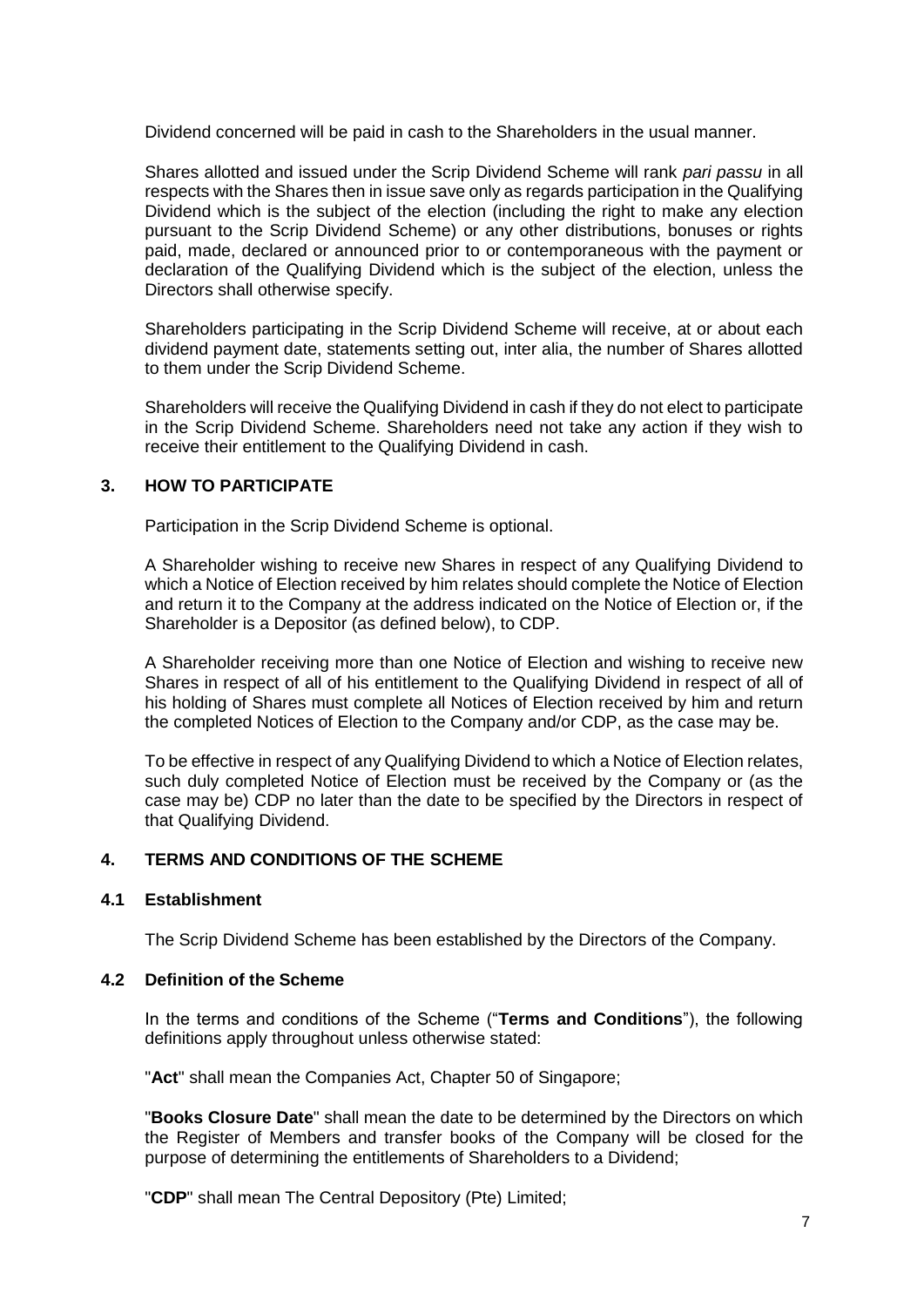Dividend concerned will be paid in cash to the Shareholders in the usual manner.

Shares allotted and issued under the Scrip Dividend Scheme will rank *pari passu* in all respects with the Shares then in issue save only as regards participation in the Qualifying Dividend which is the subject of the election (including the right to make any election pursuant to the Scrip Dividend Scheme) or any other distributions, bonuses or rights paid, made, declared or announced prior to or contemporaneous with the payment or declaration of the Qualifying Dividend which is the subject of the election, unless the Directors shall otherwise specify.

Shareholders participating in the Scrip Dividend Scheme will receive, at or about each dividend payment date, statements setting out, inter alia, the number of Shares allotted to them under the Scrip Dividend Scheme.

Shareholders will receive the Qualifying Dividend in cash if they do not elect to participate in the Scrip Dividend Scheme. Shareholders need not take any action if they wish to receive their entitlement to the Qualifying Dividend in cash.

## **3. HOW TO PARTICIPATE**

Participation in the Scrip Dividend Scheme is optional.

A Shareholder wishing to receive new Shares in respect of any Qualifying Dividend to which a Notice of Election received by him relates should complete the Notice of Election and return it to the Company at the address indicated on the Notice of Election or, if the Shareholder is a Depositor (as defined below), to CDP.

A Shareholder receiving more than one Notice of Election and wishing to receive new Shares in respect of all of his entitlement to the Qualifying Dividend in respect of all of his holding of Shares must complete all Notices of Election received by him and return the completed Notices of Election to the Company and/or CDP, as the case may be.

To be effective in respect of any Qualifying Dividend to which a Notice of Election relates, such duly completed Notice of Election must be received by the Company or (as the case may be) CDP no later than the date to be specified by the Directors in respect of that Qualifying Dividend.

## **4. TERMS AND CONDITIONS OF THE SCHEME**

## **4.1 Establishment**

The Scrip Dividend Scheme has been established by the Directors of the Company.

## **4.2 Definition of the Scheme**

In the terms and conditions of the Scheme ("**Terms and Conditions**"), the following definitions apply throughout unless otherwise stated:

"**Act**" shall mean the Companies Act, Chapter 50 of Singapore;

"**Books Closure Date**" shall mean the date to be determined by the Directors on which the Register of Members and transfer books of the Company will be closed for the purpose of determining the entitlements of Shareholders to a Dividend;

"**CDP**" shall mean The Central Depository (Pte) Limited;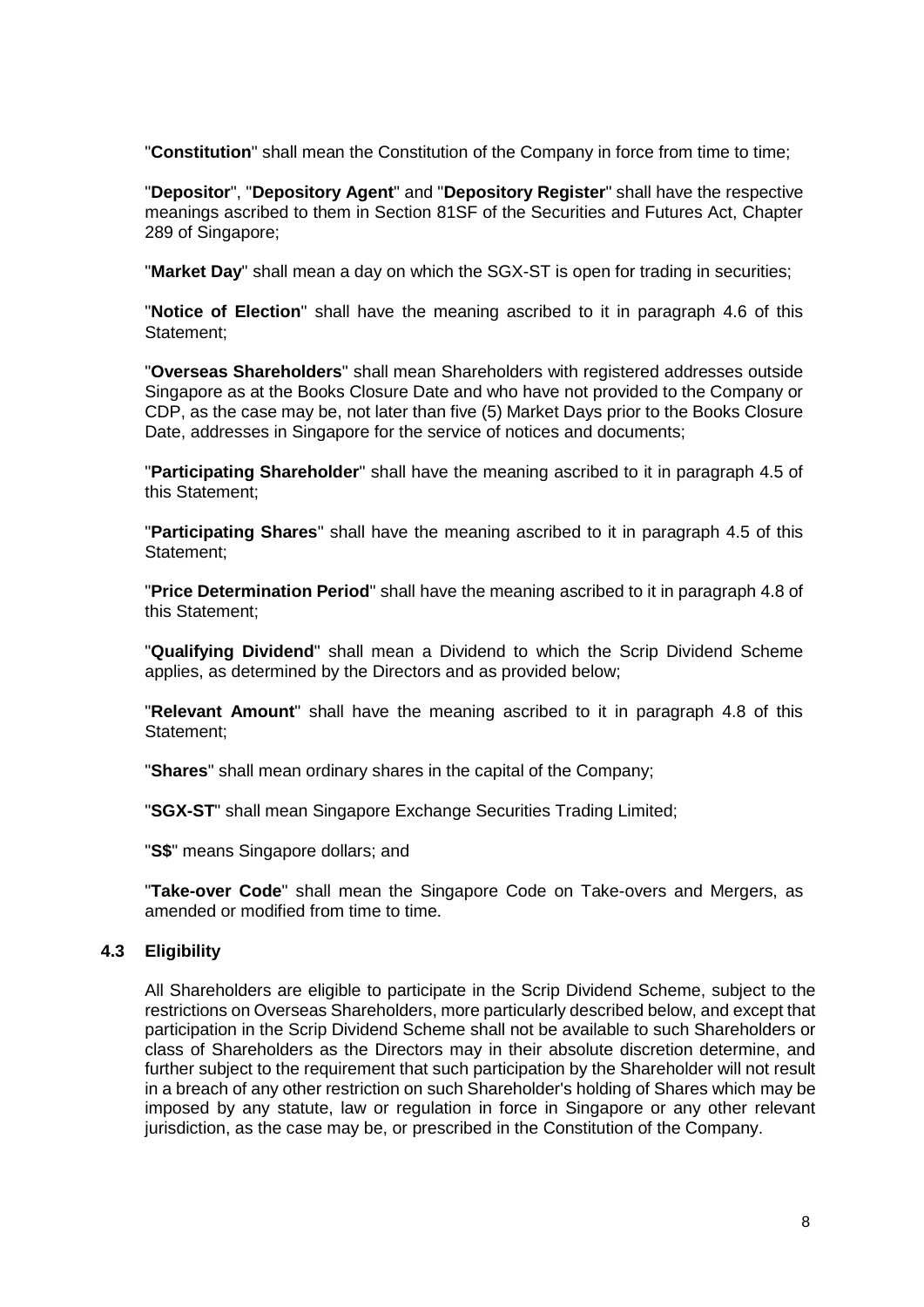"**Constitution**" shall mean the Constitution of the Company in force from time to time;

"**Depositor**", "**Depository Agent**" and "**Depository Register**" shall have the respective meanings ascribed to them in Section 81SF of the Securities and Futures Act, Chapter 289 of Singapore;

"**Market Day**" shall mean a day on which the SGX-ST is open for trading in securities;

"**Notice of Election**" shall have the meaning ascribed to it in paragraph 4.6 of this Statement;

"**Overseas Shareholders**" shall mean Shareholders with registered addresses outside Singapore as at the Books Closure Date and who have not provided to the Company or CDP, as the case may be, not later than five (5) Market Days prior to the Books Closure Date, addresses in Singapore for the service of notices and documents;

"**Participating Shareholder**" shall have the meaning ascribed to it in paragraph 4.5 of this Statement;

"**Participating Shares**" shall have the meaning ascribed to it in paragraph 4.5 of this Statement;

"**Price Determination Period**" shall have the meaning ascribed to it in paragraph 4.8 of this Statement;

"**Qualifying Dividend**" shall mean a Dividend to which the Scrip Dividend Scheme applies, as determined by the Directors and as provided below;

"**Relevant Amount**" shall have the meaning ascribed to it in paragraph 4.8 of this Statement;

"**Shares**" shall mean ordinary shares in the capital of the Company;

"**SGX-ST**" shall mean Singapore Exchange Securities Trading Limited;

"**S\$**" means Singapore dollars; and

"**Take-over Code**" shall mean the Singapore Code on Take-overs and Mergers, as amended or modified from time to time.

## **4.3 Eligibility**

All Shareholders are eligible to participate in the Scrip Dividend Scheme, subject to the restrictions on Overseas Shareholders, more particularly described below, and except that participation in the Scrip Dividend Scheme shall not be available to such Shareholders or class of Shareholders as the Directors may in their absolute discretion determine, and further subject to the requirement that such participation by the Shareholder will not result in a breach of any other restriction on such Shareholder's holding of Shares which may be imposed by any statute, law or regulation in force in Singapore or any other relevant jurisdiction, as the case may be, or prescribed in the Constitution of the Company.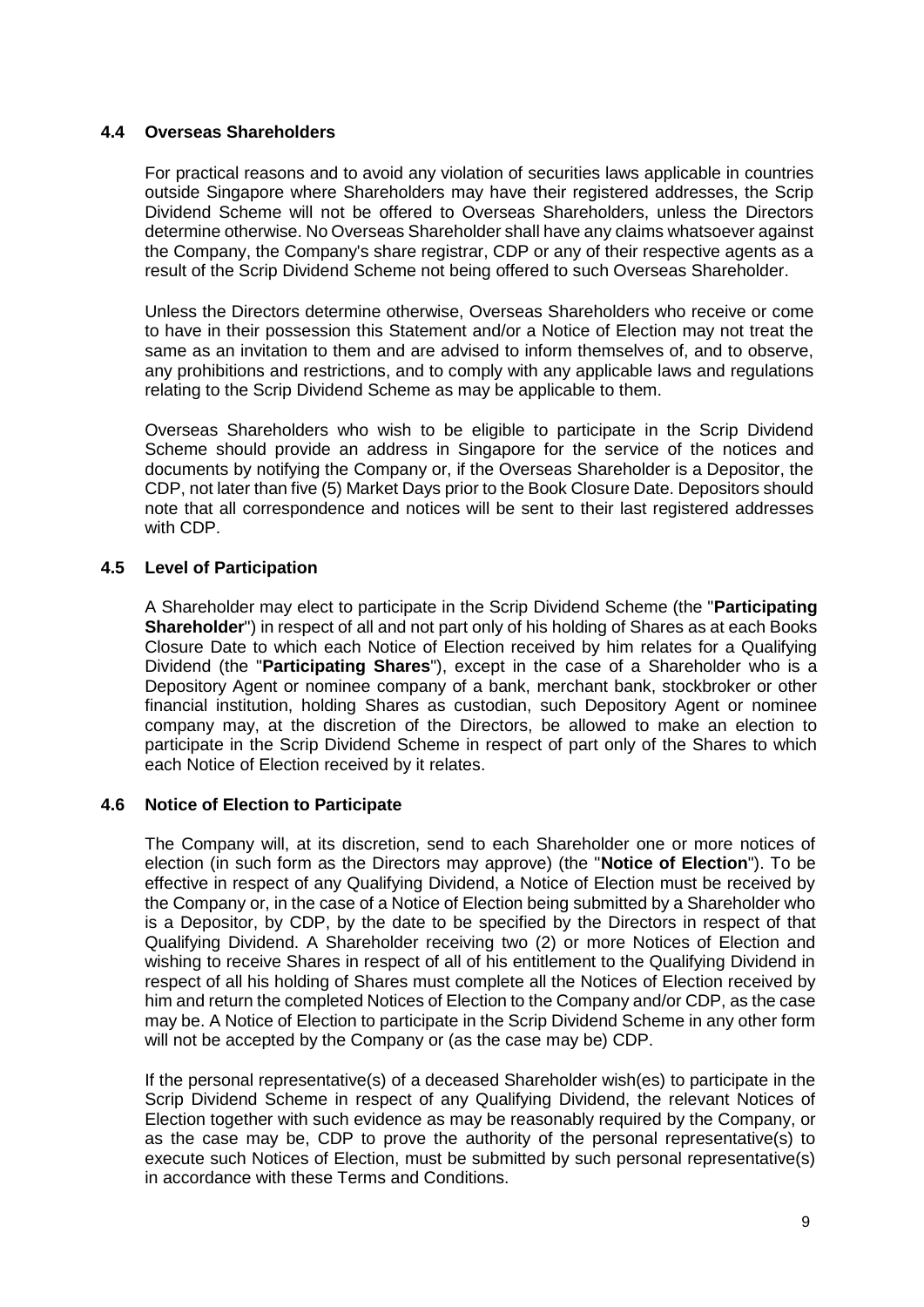## **4.4 Overseas Shareholders**

For practical reasons and to avoid any violation of securities laws applicable in countries outside Singapore where Shareholders may have their registered addresses, the Scrip Dividend Scheme will not be offered to Overseas Shareholders, unless the Directors determine otherwise. No Overseas Shareholder shall have any claims whatsoever against the Company, the Company's share registrar, CDP or any of their respective agents as a result of the Scrip Dividend Scheme not being offered to such Overseas Shareholder.

Unless the Directors determine otherwise, Overseas Shareholders who receive or come to have in their possession this Statement and/or a Notice of Election may not treat the same as an invitation to them and are advised to inform themselves of, and to observe, any prohibitions and restrictions, and to comply with any applicable laws and regulations relating to the Scrip Dividend Scheme as may be applicable to them.

Overseas Shareholders who wish to be eligible to participate in the Scrip Dividend Scheme should provide an address in Singapore for the service of the notices and documents by notifying the Company or, if the Overseas Shareholder is a Depositor, the CDP, not later than five (5) Market Days prior to the Book Closure Date. Depositors should note that all correspondence and notices will be sent to their last registered addresses with CDP.

## **4.5 Level of Participation**

A Shareholder may elect to participate in the Scrip Dividend Scheme (the "**Participating Shareholder**") in respect of all and not part only of his holding of Shares as at each Books Closure Date to which each Notice of Election received by him relates for a Qualifying Dividend (the "**Participating Shares**"), except in the case of a Shareholder who is a Depository Agent or nominee company of a bank, merchant bank, stockbroker or other financial institution, holding Shares as custodian, such Depository Agent or nominee company may, at the discretion of the Directors, be allowed to make an election to participate in the Scrip Dividend Scheme in respect of part only of the Shares to which each Notice of Election received by it relates.

## **4.6 Notice of Election to Participate**

The Company will, at its discretion, send to each Shareholder one or more notices of election (in such form as the Directors may approve) (the "**Notice of Election**"). To be effective in respect of any Qualifying Dividend, a Notice of Election must be received by the Company or, in the case of a Notice of Election being submitted by a Shareholder who is a Depositor, by CDP, by the date to be specified by the Directors in respect of that Qualifying Dividend. A Shareholder receiving two (2) or more Notices of Election and wishing to receive Shares in respect of all of his entitlement to the Qualifying Dividend in respect of all his holding of Shares must complete all the Notices of Election received by him and return the completed Notices of Election to the Company and/or CDP, as the case may be. A Notice of Election to participate in the Scrip Dividend Scheme in any other form will not be accepted by the Company or (as the case may be) CDP.

If the personal representative(s) of a deceased Shareholder wish(es) to participate in the Scrip Dividend Scheme in respect of any Qualifying Dividend, the relevant Notices of Election together with such evidence as may be reasonably required by the Company, or as the case may be, CDP to prove the authority of the personal representative(s) to execute such Notices of Election, must be submitted by such personal representative(s) in accordance with these Terms and Conditions.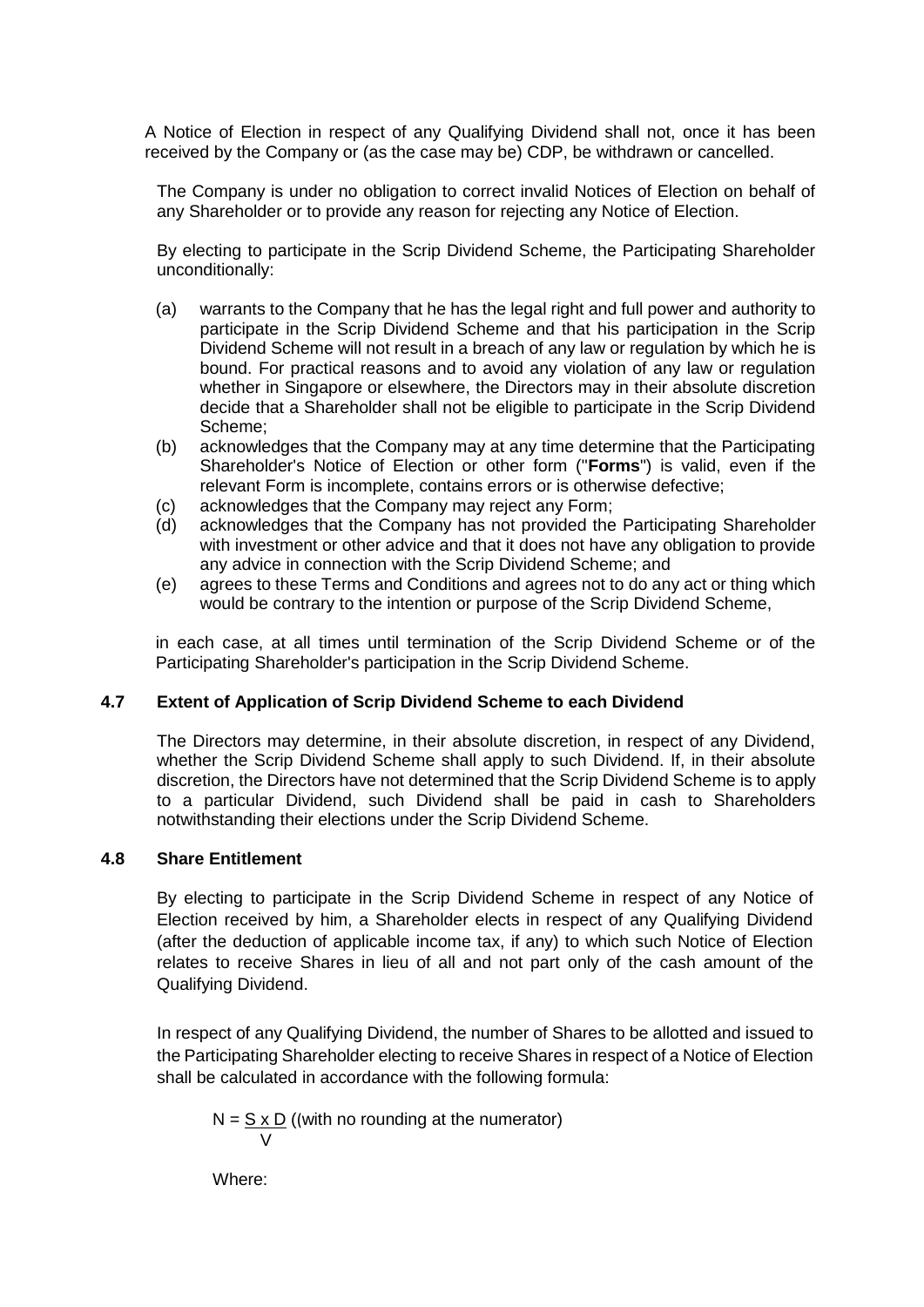A Notice of Election in respect of any Qualifying Dividend shall not, once it has been received by the Company or (as the case may be) CDP, be withdrawn or cancelled.

The Company is under no obligation to correct invalid Notices of Election on behalf of any Shareholder or to provide any reason for rejecting any Notice of Election.

By electing to participate in the Scrip Dividend Scheme, the Participating Shareholder unconditionally:

- (a) warrants to the Company that he has the legal right and full power and authority to participate in the Scrip Dividend Scheme and that his participation in the Scrip Dividend Scheme will not result in a breach of any law or regulation by which he is bound. For practical reasons and to avoid any violation of any law or regulation whether in Singapore or elsewhere, the Directors may in their absolute discretion decide that a Shareholder shall not be eligible to participate in the Scrip Dividend Scheme;
- (b) acknowledges that the Company may at any time determine that the Participating Shareholder's Notice of Election or other form ("**Forms**") is valid, even if the relevant Form is incomplete, contains errors or is otherwise defective;
- (c) acknowledges that the Company may reject any Form;
- (d) acknowledges that the Company has not provided the Participating Shareholder with investment or other advice and that it does not have any obligation to provide any advice in connection with the Scrip Dividend Scheme; and
- (e) agrees to these Terms and Conditions and agrees not to do any act or thing which would be contrary to the intention or purpose of the Scrip Dividend Scheme,

in each case, at all times until termination of the Scrip Dividend Scheme or of the Participating Shareholder's participation in the Scrip Dividend Scheme.

#### **4.7 Extent of Application of Scrip Dividend Scheme to each Dividend**

The Directors may determine, in their absolute discretion, in respect of any Dividend, whether the Scrip Dividend Scheme shall apply to such Dividend. If, in their absolute discretion, the Directors have not determined that the Scrip Dividend Scheme is to apply to a particular Dividend, such Dividend shall be paid in cash to Shareholders notwithstanding their elections under the Scrip Dividend Scheme.

#### **4.8 Share Entitlement**

By electing to participate in the Scrip Dividend Scheme in respect of any Notice of Election received by him, a Shareholder elects in respect of any Qualifying Dividend (after the deduction of applicable income tax, if any) to which such Notice of Election relates to receive Shares in lieu of all and not part only of the cash amount of the Qualifying Dividend.

In respect of any Qualifying Dividend, the number of Shares to be allotted and issued to the Participating Shareholder electing to receive Shares in respect of a Notice of Election shall be calculated in accordance with the following formula:

 $N = S \times D$  ((with no rounding at the numerator) V

Where: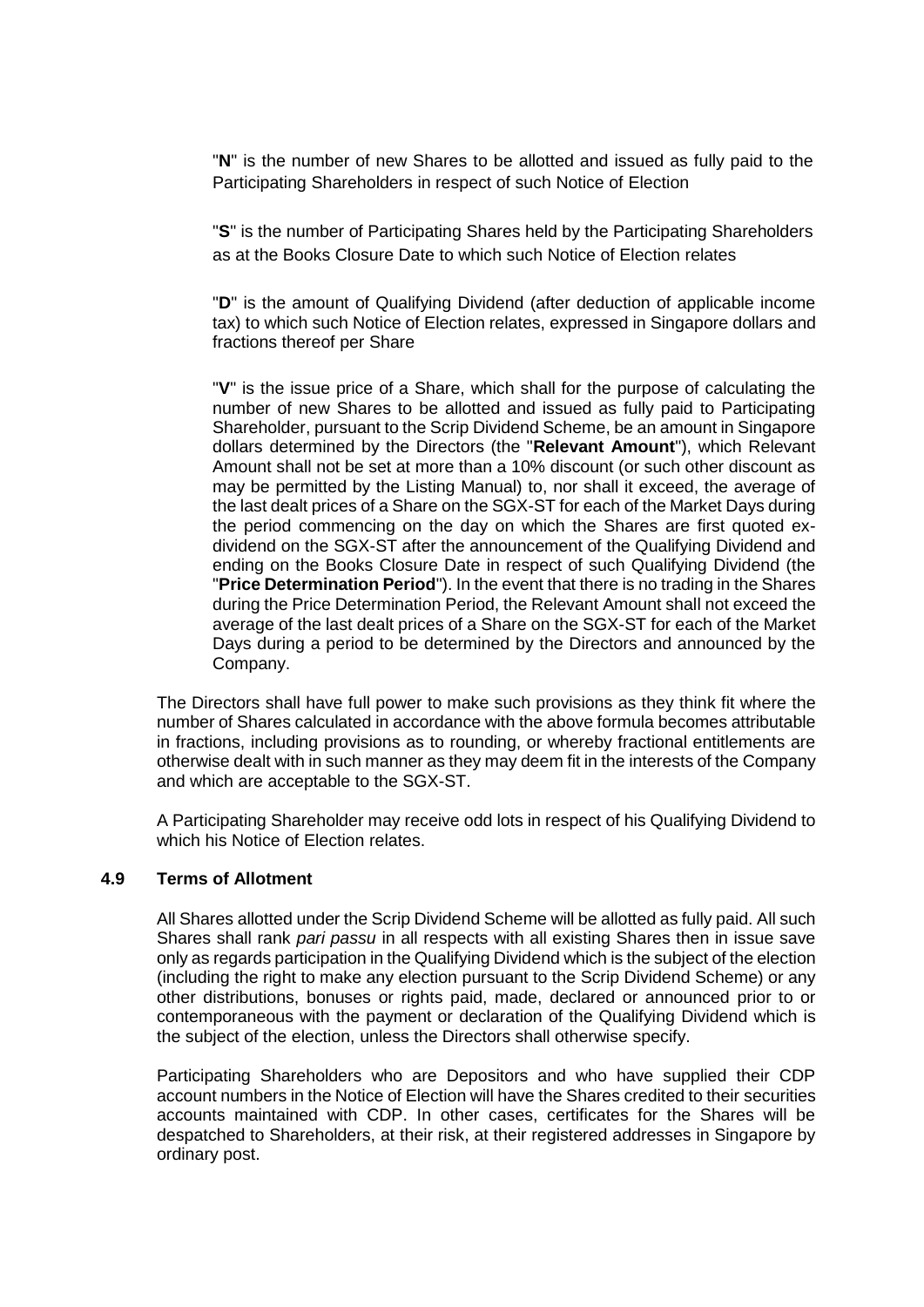"**N**" is the number of new Shares to be allotted and issued as fully paid to the Participating Shareholders in respect of such Notice of Election

"**S**" is the number of Participating Shares held by the Participating Shareholders as at the Books Closure Date to which such Notice of Election relates

"**D**" is the amount of Qualifying Dividend (after deduction of applicable income tax) to which such Notice of Election relates, expressed in Singapore dollars and fractions thereof per Share

"**V**" is the issue price of a Share, which shall for the purpose of calculating the number of new Shares to be allotted and issued as fully paid to Participating Shareholder, pursuant to the Scrip Dividend Scheme, be an amount in Singapore dollars determined by the Directors (the "**Relevant Amount**"), which Relevant Amount shall not be set at more than a 10% discount (or such other discount as may be permitted by the Listing Manual) to, nor shall it exceed, the average of the last dealt prices of a Share on the SGX-ST for each of the Market Days during the period commencing on the day on which the Shares are first quoted exdividend on the SGX-ST after the announcement of the Qualifying Dividend and ending on the Books Closure Date in respect of such Qualifying Dividend (the "**Price Determination Period**"). In the event that there is no trading in the Shares during the Price Determination Period, the Relevant Amount shall not exceed the average of the last dealt prices of a Share on the SGX-ST for each of the Market Days during a period to be determined by the Directors and announced by the Company.

The Directors shall have full power to make such provisions as they think fit where the number of Shares calculated in accordance with the above formula becomes attributable in fractions, including provisions as to rounding, or whereby fractional entitlements are otherwise dealt with in such manner as they may deem fit in the interests of the Company and which are acceptable to the SGX-ST.

A Participating Shareholder may receive odd lots in respect of his Qualifying Dividend to which his Notice of Election relates.

## **4.9 Terms of Allotment**

All Shares allotted under the Scrip Dividend Scheme will be allotted as fully paid. All such Shares shall rank *pari passu* in all respects with all existing Shares then in issue save only as regards participation in the Qualifying Dividend which is the subject of the election (including the right to make any election pursuant to the Scrip Dividend Scheme) or any other distributions, bonuses or rights paid, made, declared or announced prior to or contemporaneous with the payment or declaration of the Qualifying Dividend which is the subject of the election, unless the Directors shall otherwise specify.

Participating Shareholders who are Depositors and who have supplied their CDP account numbers in the Notice of Election will have the Shares credited to their securities accounts maintained with CDP. In other cases, certificates for the Shares will be despatched to Shareholders, at their risk, at their registered addresses in Singapore by ordinary post.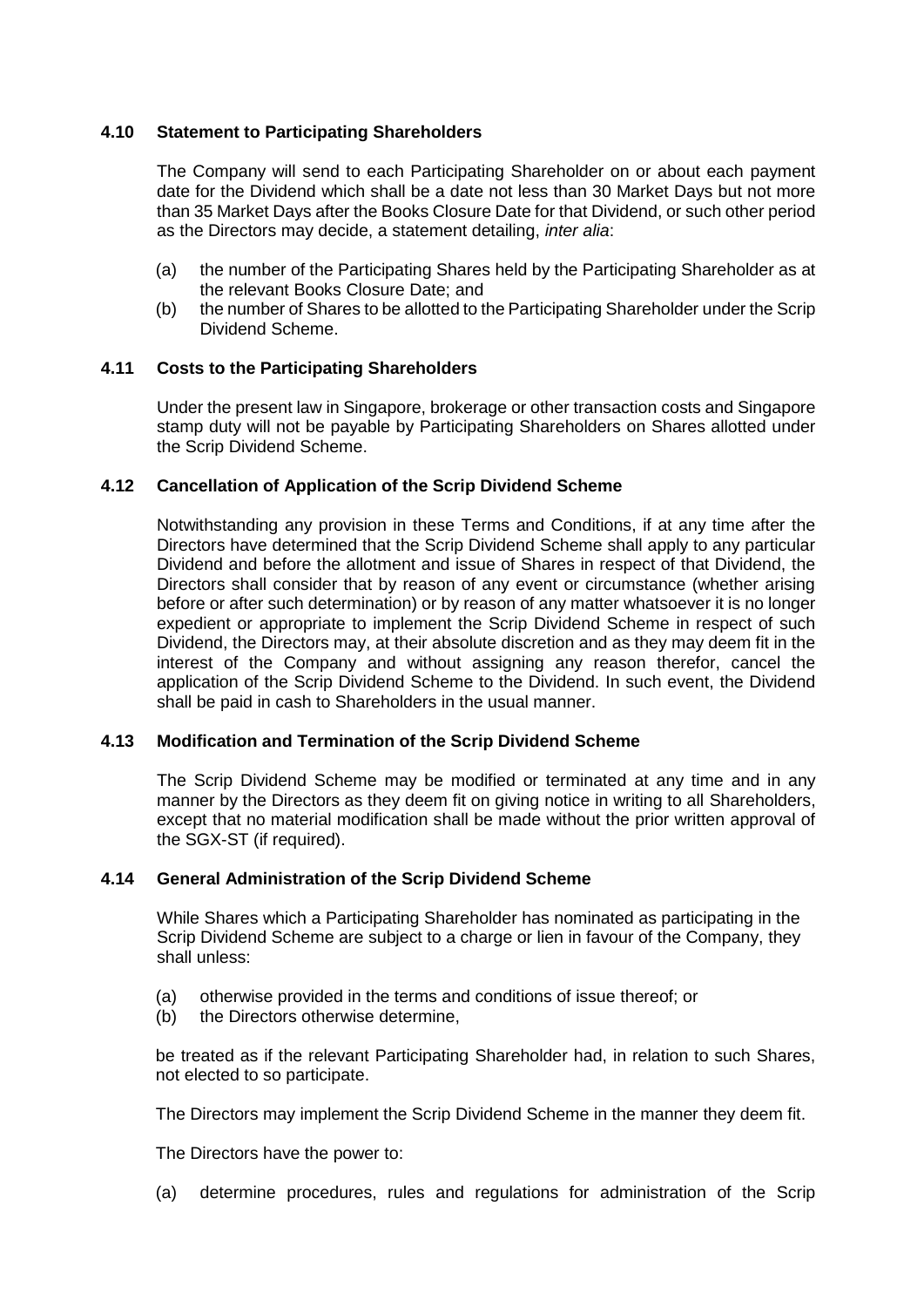## **4.10 Statement to Participating Shareholders**

The Company will send to each Participating Shareholder on or about each payment date for the Dividend which shall be a date not less than 30 Market Days but not more than 35 Market Days after the Books Closure Date for that Dividend, or such other period as the Directors may decide, a statement detailing, *inter alia*:

- (a) the number of the Participating Shares held by the Participating Shareholder as at the relevant Books Closure Date; and
- (b) the number of Shares to be allotted to the Participating Shareholder under the Scrip Dividend Scheme.

## **4.11 Costs to the Participating Shareholders**

Under the present law in Singapore, brokerage or other transaction costs and Singapore stamp duty will not be payable by Participating Shareholders on Shares allotted under the Scrip Dividend Scheme.

## **4.12 Cancellation of Application of the Scrip Dividend Scheme**

Notwithstanding any provision in these Terms and Conditions, if at any time after the Directors have determined that the Scrip Dividend Scheme shall apply to any particular Dividend and before the allotment and issue of Shares in respect of that Dividend, the Directors shall consider that by reason of any event or circumstance (whether arising before or after such determination) or by reason of any matter whatsoever it is no longer expedient or appropriate to implement the Scrip Dividend Scheme in respect of such Dividend, the Directors may, at their absolute discretion and as they may deem fit in the interest of the Company and without assigning any reason therefor, cancel the application of the Scrip Dividend Scheme to the Dividend. In such event, the Dividend shall be paid in cash to Shareholders in the usual manner.

#### **4.13 Modification and Termination of the Scrip Dividend Scheme**

The Scrip Dividend Scheme may be modified or terminated at any time and in any manner by the Directors as they deem fit on giving notice in writing to all Shareholders, except that no material modification shall be made without the prior written approval of the SGX-ST (if required).

#### **4.14 General Administration of the Scrip Dividend Scheme**

While Shares which a Participating Shareholder has nominated as participating in the Scrip Dividend Scheme are subject to a charge or lien in favour of the Company, they shall unless:

- (a) otherwise provided in the terms and conditions of issue thereof; or
- (b) the Directors otherwise determine.

be treated as if the relevant Participating Shareholder had, in relation to such Shares, not elected to so participate.

The Directors may implement the Scrip Dividend Scheme in the manner they deem fit.

The Directors have the power to:

(a) determine procedures, rules and regulations for administration of the Scrip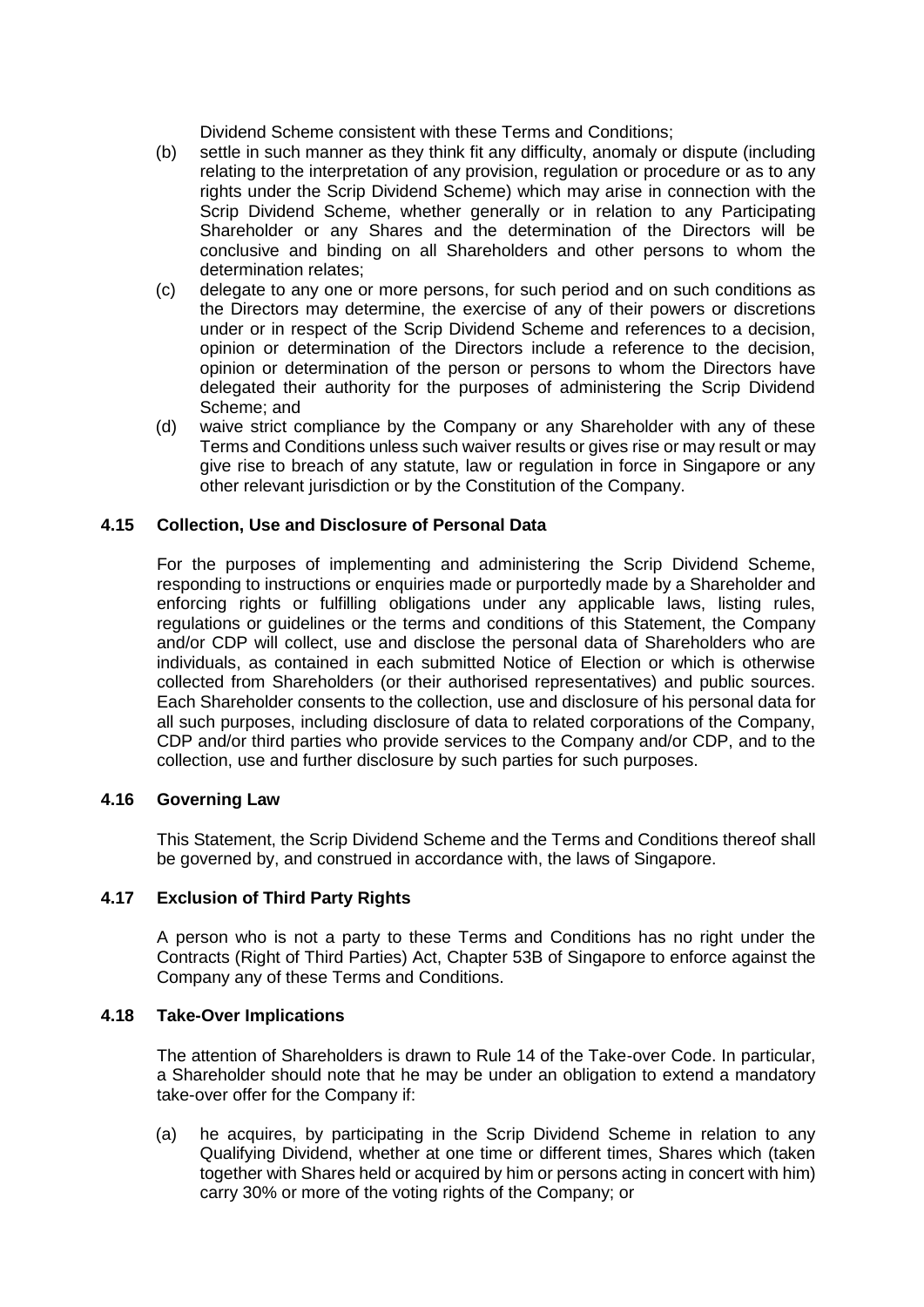Dividend Scheme consistent with these Terms and Conditions;

- (b) settle in such manner as they think fit any difficulty, anomaly or dispute (including relating to the interpretation of any provision, regulation or procedure or as to any rights under the Scrip Dividend Scheme) which may arise in connection with the Scrip Dividend Scheme, whether generally or in relation to any Participating Shareholder or any Shares and the determination of the Directors will be conclusive and binding on all Shareholders and other persons to whom the determination relates;
- (c) delegate to any one or more persons, for such period and on such conditions as the Directors may determine, the exercise of any of their powers or discretions under or in respect of the Scrip Dividend Scheme and references to a decision, opinion or determination of the Directors include a reference to the decision, opinion or determination of the person or persons to whom the Directors have delegated their authority for the purposes of administering the Scrip Dividend Scheme; and
- (d) waive strict compliance by the Company or any Shareholder with any of these Terms and Conditions unless such waiver results or gives rise or may result or may give rise to breach of any statute, law or regulation in force in Singapore or any other relevant jurisdiction or by the Constitution of the Company.

## **4.15 Collection, Use and Disclosure of Personal Data**

For the purposes of implementing and administering the Scrip Dividend Scheme, responding to instructions or enquiries made or purportedly made by a Shareholder and enforcing rights or fulfilling obligations under any applicable laws, listing rules, regulations or guidelines or the terms and conditions of this Statement, the Company and/or CDP will collect, use and disclose the personal data of Shareholders who are individuals, as contained in each submitted Notice of Election or which is otherwise collected from Shareholders (or their authorised representatives) and public sources. Each Shareholder consents to the collection, use and disclosure of his personal data for all such purposes, including disclosure of data to related corporations of the Company, CDP and/or third parties who provide services to the Company and/or CDP, and to the collection, use and further disclosure by such parties for such purposes.

#### **4.16 Governing Law**

This Statement, the Scrip Dividend Scheme and the Terms and Conditions thereof shall be governed by, and construed in accordance with, the laws of Singapore.

#### **4.17 Exclusion of Third Party Rights**

A person who is not a party to these Terms and Conditions has no right under the Contracts (Right of Third Parties) Act, Chapter 53B of Singapore to enforce against the Company any of these Terms and Conditions.

#### **4.18 Take-Over Implications**

The attention of Shareholders is drawn to Rule 14 of the Take-over Code. In particular, a Shareholder should note that he may be under an obligation to extend a mandatory take-over offer for the Company if:

(a) he acquires, by participating in the Scrip Dividend Scheme in relation to any Qualifying Dividend, whether at one time or different times, Shares which (taken together with Shares held or acquired by him or persons acting in concert with him) carry 30% or more of the voting rights of the Company; or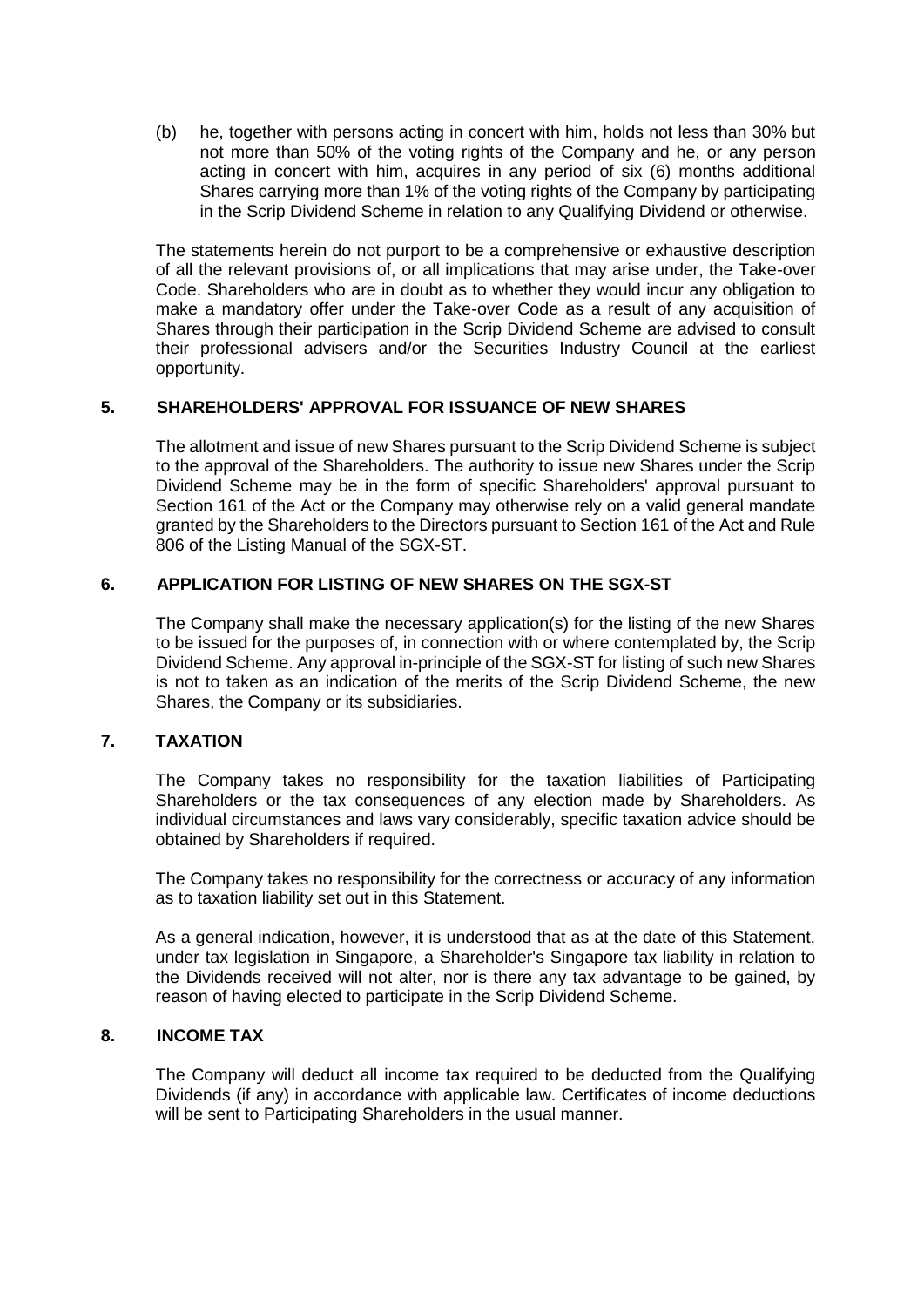(b) he, together with persons acting in concert with him, holds not less than 30% but not more than 50% of the voting rights of the Company and he, or any person acting in concert with him, acquires in any period of six (6) months additional Shares carrying more than 1% of the voting rights of the Company by participating in the Scrip Dividend Scheme in relation to any Qualifying Dividend or otherwise.

The statements herein do not purport to be a comprehensive or exhaustive description of all the relevant provisions of, or all implications that may arise under, the Take-over Code. Shareholders who are in doubt as to whether they would incur any obligation to make a mandatory offer under the Take-over Code as a result of any acquisition of Shares through their participation in the Scrip Dividend Scheme are advised to consult their professional advisers and/or the Securities Industry Council at the earliest opportunity.

# **5. SHAREHOLDERS' APPROVAL FOR ISSUANCE OF NEW SHARES**

The allotment and issue of new Shares pursuant to the Scrip Dividend Scheme is subject to the approval of the Shareholders. The authority to issue new Shares under the Scrip Dividend Scheme may be in the form of specific Shareholders' approval pursuant to Section 161 of the Act or the Company may otherwise rely on a valid general mandate granted by the Shareholders to the Directors pursuant to Section 161 of the Act and Rule 806 of the Listing Manual of the SGX-ST.

## **6. APPLICATION FOR LISTING OF NEW SHARES ON THE SGX-ST**

The Company shall make the necessary application(s) for the listing of the new Shares to be issued for the purposes of, in connection with or where contemplated by, the Scrip Dividend Scheme. Any approval in-principle of the SGX-ST for listing of such new Shares is not to taken as an indication of the merits of the Scrip Dividend Scheme, the new Shares, the Company or its subsidiaries.

## **7. TAXATION**

The Company takes no responsibility for the taxation liabilities of Participating Shareholders or the tax consequences of any election made by Shareholders. As individual circumstances and laws vary considerably, specific taxation advice should be obtained by Shareholders if required.

The Company takes no responsibility for the correctness or accuracy of any information as to taxation liability set out in this Statement.

As a general indication, however, it is understood that as at the date of this Statement, under tax legislation in Singapore, a Shareholder's Singapore tax liability in relation to the Dividends received will not alter, nor is there any tax advantage to be gained, by reason of having elected to participate in the Scrip Dividend Scheme.

# **8. INCOME TAX**

The Company will deduct all income tax required to be deducted from the Qualifying Dividends (if any) in accordance with applicable law. Certificates of income deductions will be sent to Participating Shareholders in the usual manner.